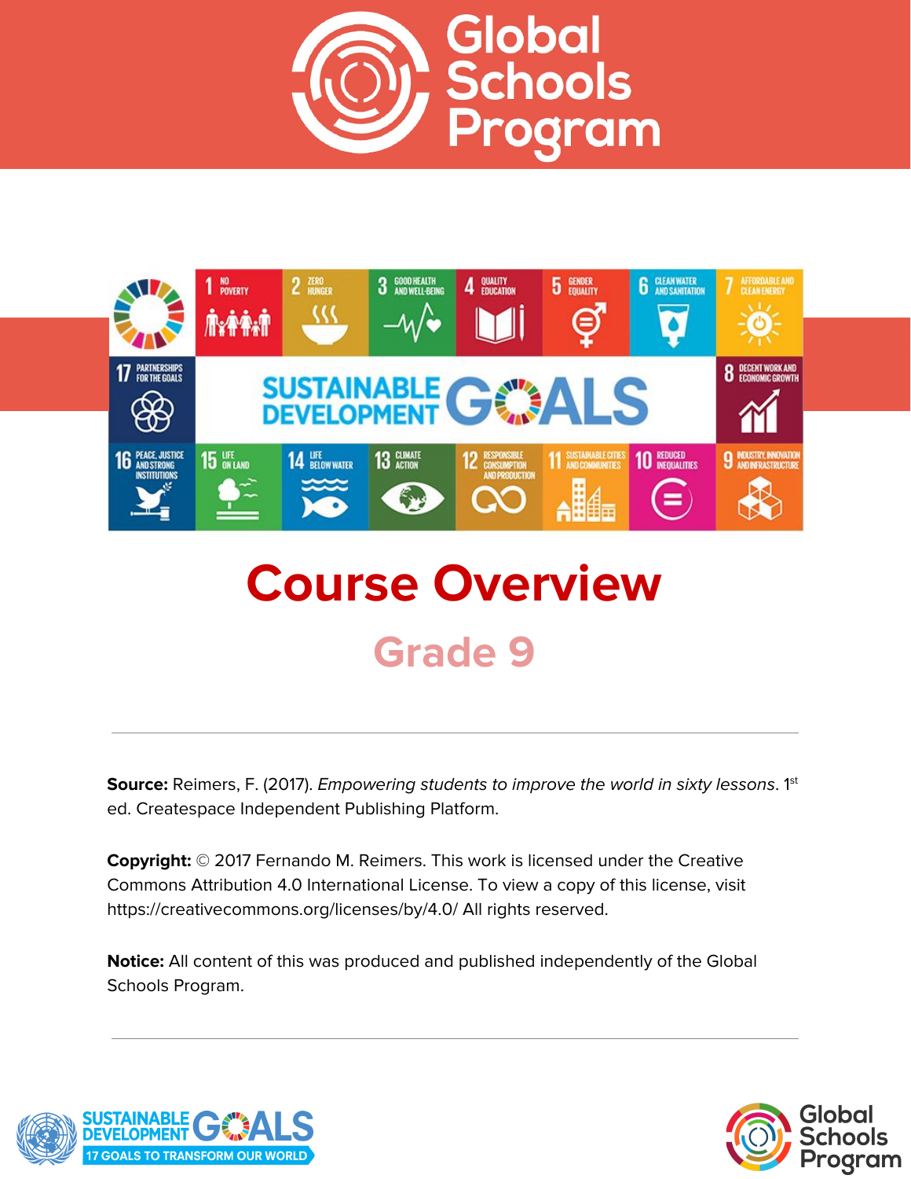



# **Course Overview Grade 9**

**Source:** Reimers, F. (2017). *Empowering students to improve the world in sixty lessons.* 1<sup>st</sup> ed. Createspace Independent Publishing Platform.

**Copyright:** © 2017 Fernando M. Reimers. This work is licensed under the Creative Commons Attribution 4.0 International License. To view a copy of this license, visit https://creativecommons.org/licenses/by/4.0/ All rights reserved.

**Notice:** All content of this was produced and published independently of the Global Schools Program.



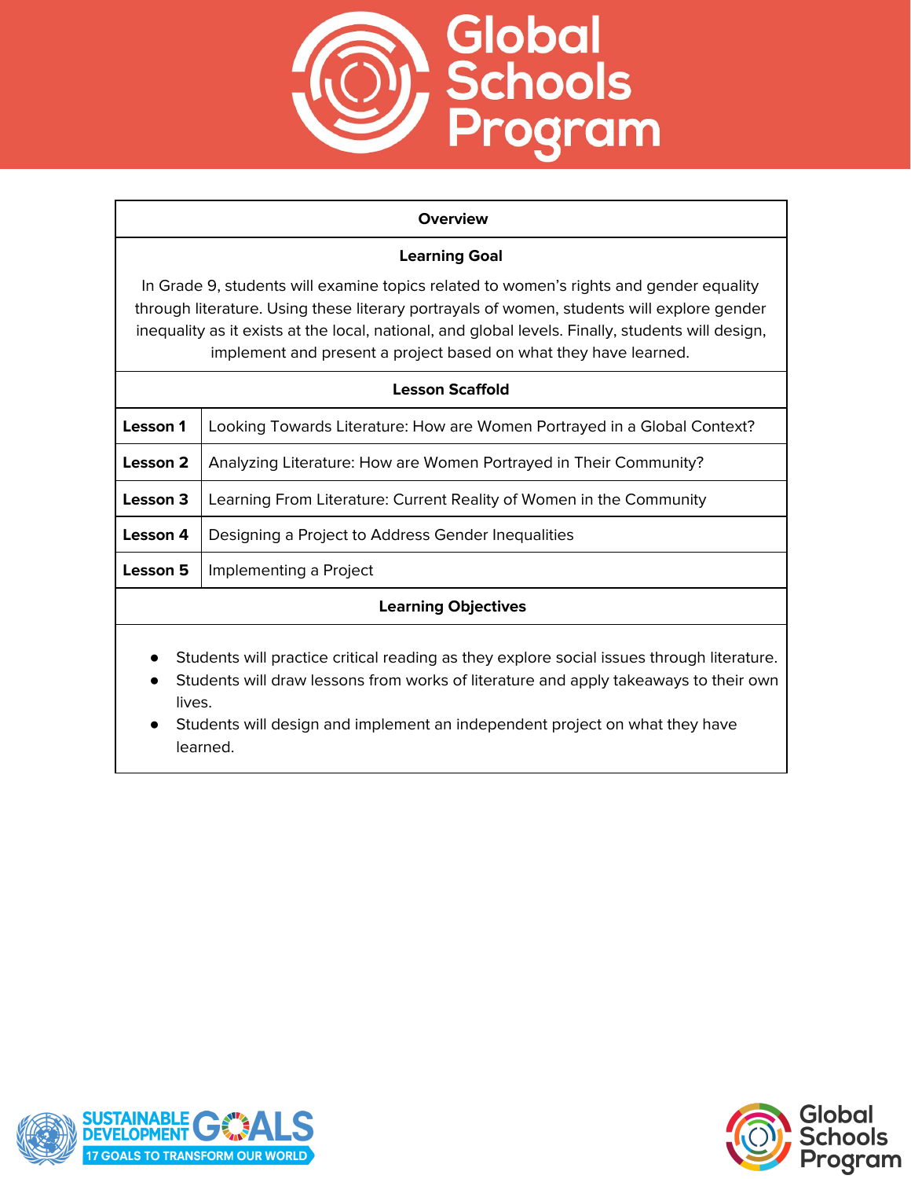

#### **Overview**

## **Learning Goal**

In Grade 9, students will examine topics related to women's rights and gender equality through literature. Using these literary portrayals of women, students will explore gender inequality as it exists at the local, national, and global levels. Finally, students will design, implement and present a project based on what they have learned.

| Lesson Scaffold                                                                           |                                                                          |
|-------------------------------------------------------------------------------------------|--------------------------------------------------------------------------|
| Lesson 1                                                                                  | Looking Towards Literature: How are Women Portrayed in a Global Context? |
| Lesson 2                                                                                  | Analyzing Literature: How are Women Portrayed in Their Community?        |
| Lesson 3                                                                                  | Learning From Literature: Current Reality of Women in the Community      |
| Lesson 4                                                                                  | Designing a Project to Address Gender Inequalities                       |
| Lesson 5                                                                                  | Implementing a Project                                                   |
| <b>Learning Objectives</b>                                                                |                                                                          |
| Students will practice critical reading as they explore social issues through literature. |                                                                          |

- Students will draw lessons from works of literature and apply takeaways to their own lives.
- Students will design and implement an independent project on what they have learned.



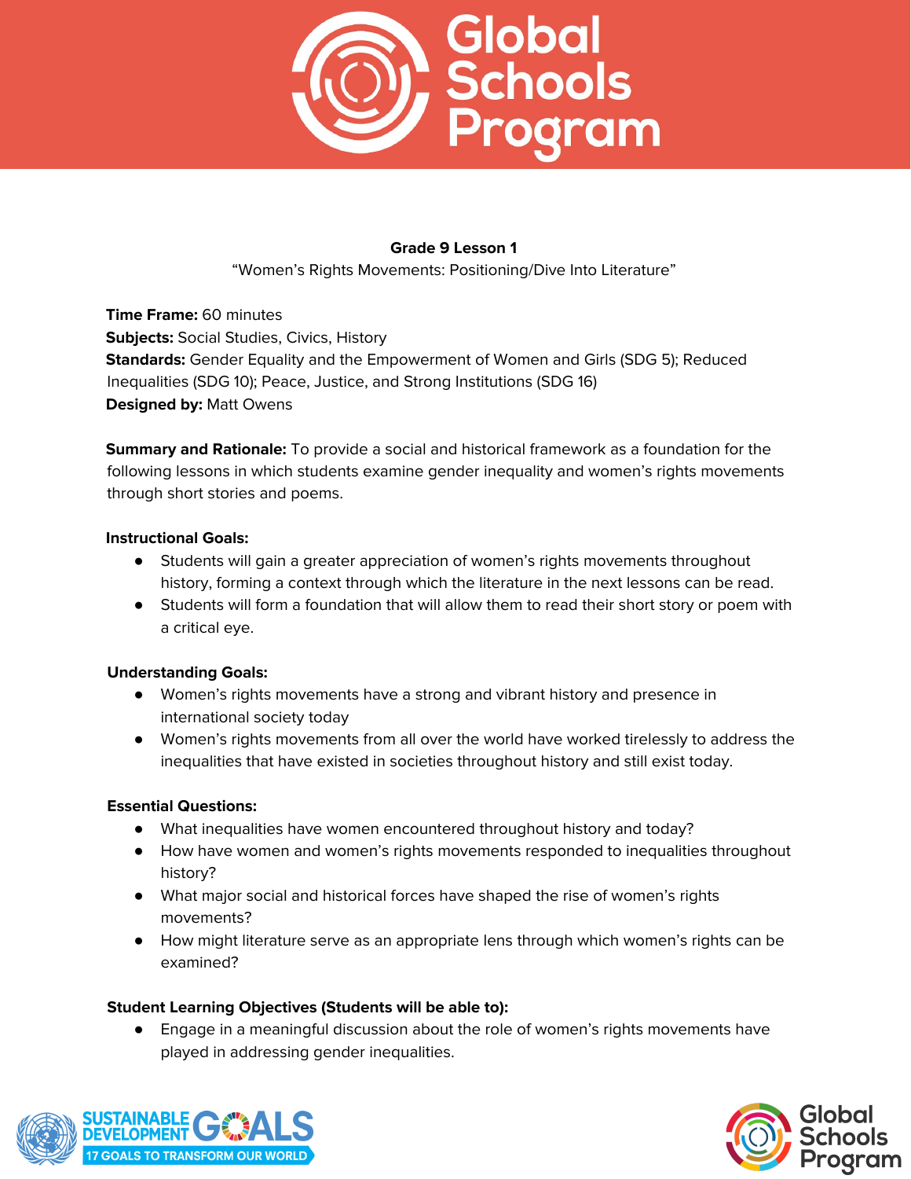

"Women's Rights Movements: Positioning/Dive Into Literature"

**Time Frame:** 60 minutes **Subjects:** Social Studies, Civics, History **Standards:** Gender Equality and the Empowerment of Women and Girls (SDG 5); Reduced Inequalities (SDG 10); Peace, Justice, and Strong Institutions (SDG 16) **Designed by:** Matt Owens

**Summary and Rationale:** To provide a social and historical framework as a foundation for the following lessons in which students examine gender inequality and women's rights movements through short stories and poems.

#### **Instructional Goals:**

- Students will gain a greater appreciation of women's rights movements throughout history, forming a context through which the literature in the next lessons can be read.
- Students will form a foundation that will allow them to read their short story or poem with a critical eye.

## **Understanding Goals:**

- Women's rights movements have a strong and vibrant history and presence in international society today
- Women's rights movements from all over the world have worked tirelessly to address the inequalities that have existed in societies throughout history and still exist today.

## **Essential Questions:**

- What inequalities have women encountered throughout history and today?
- How have women and women's rights movements responded to inequalities throughout history?
- What major social and historical forces have shaped the rise of women's rights movements?
- How might literature serve as an appropriate lens through which women's rights can be examined?

## **Student Learning Objectives (Students will be able to):**

● Engage in a meaningful discussion about the role of women's rights movements have played in addressing gender inequalities.



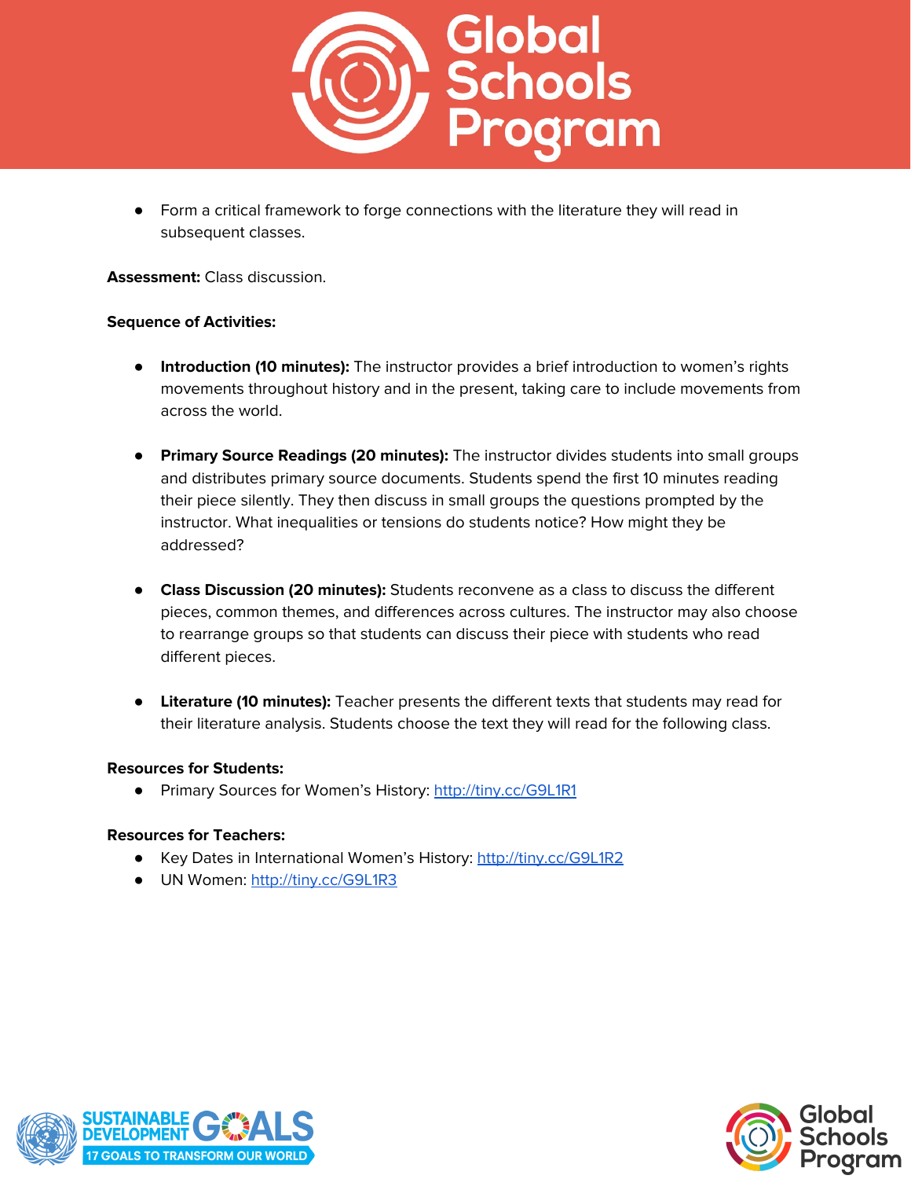

● Form a critical framework to forge connections with the literature they will read in subsequent classes.

**Assessment:** Class discussion.

#### **Sequence of Activities:**

- **Introduction (10 minutes):** The instructor provides a brief introduction to women's rights movements throughout history and in the present, taking care to include movements from across the world.
- **Primary Source Readings (20 minutes):** The instructor divides students into small groups and distributes primary source documents. Students spend the first 10 minutes reading their piece silently. They then discuss in small groups the questions prompted by the instructor. What inequalities or tensions do students notice? How might they be addressed?
- **Class Discussion (20 minutes):** Students reconvene as a class to discuss the different pieces, common themes, and differences across cultures. The instructor may also choose to rearrange groups so that students can discuss their piece with students who read different pieces.
- **Literature (10 minutes):** Teacher presents the different texts that students may read for their literature analysis. Students choose the text they will read for the following class.

#### **Resources for Students:**

● Primary Sources for Women's History: <http://tiny.cc/G9L1R1>

## **Resources for Teachers:**

- **•** Key Dates in International Women's History: <http://tiny.cc/G9L1R2>
- **●** UN Women: <http://tiny.cc/G9L1R3>



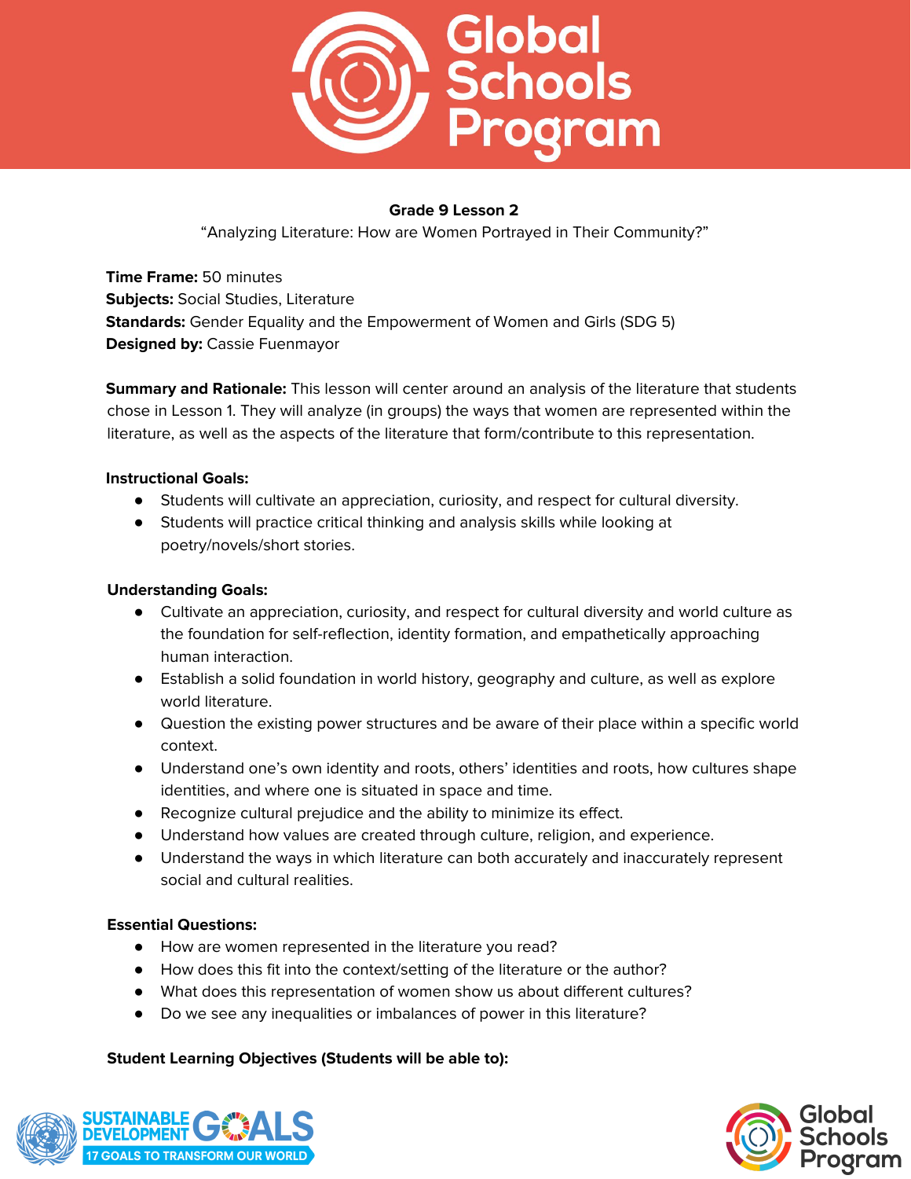

"Analyzing Literature: How are Women Portrayed in Their Community?"

**Time Frame:** 50 minutes **Subjects:** Social Studies, Literature **Standards:** Gender Equality and the Empowerment of Women and Girls (SDG 5) **Designed by:** Cassie Fuenmayor

**Summary and Rationale:** This lesson will center around an analysis of the literature that students chose in Lesson 1. They will analyze (in groups) the ways that women are represented within the literature, as well as the aspects of the literature that form/contribute to this representation.

## **Instructional Goals:**

- Students will cultivate an appreciation, curiosity, and respect for cultural diversity.
- Students will practice critical thinking and analysis skills while looking at poetry/novels/short stories.

# **Understanding Goals:**

- Cultivate an appreciation, curiosity, and respect for cultural diversity and world culture as the foundation for self-reflection, identity formation, and empathetically approaching human interaction.
- Establish a solid foundation in world history, geography and culture, as well as explore world literature.
- Question the existing power structures and be aware of their place within a specific world context.
- Understand one's own identity and roots, others' identities and roots, how cultures shape identities, and where one is situated in space and time.
- Recognize cultural prejudice and the ability to minimize its effect.
- Understand how values are created through culture, religion, and experience.
- Understand the ways in which literature can both accurately and inaccurately represent social and cultural realities.

## **Essential Questions:**

- How are women represented in the literature you read?
- How does this fit into the context/setting of the literature or the author?
- What does this representation of women show us about different cultures?
- Do we see any inequalities or imbalances of power in this literature?

## **Student Learning Objectives (Students will be able to):**



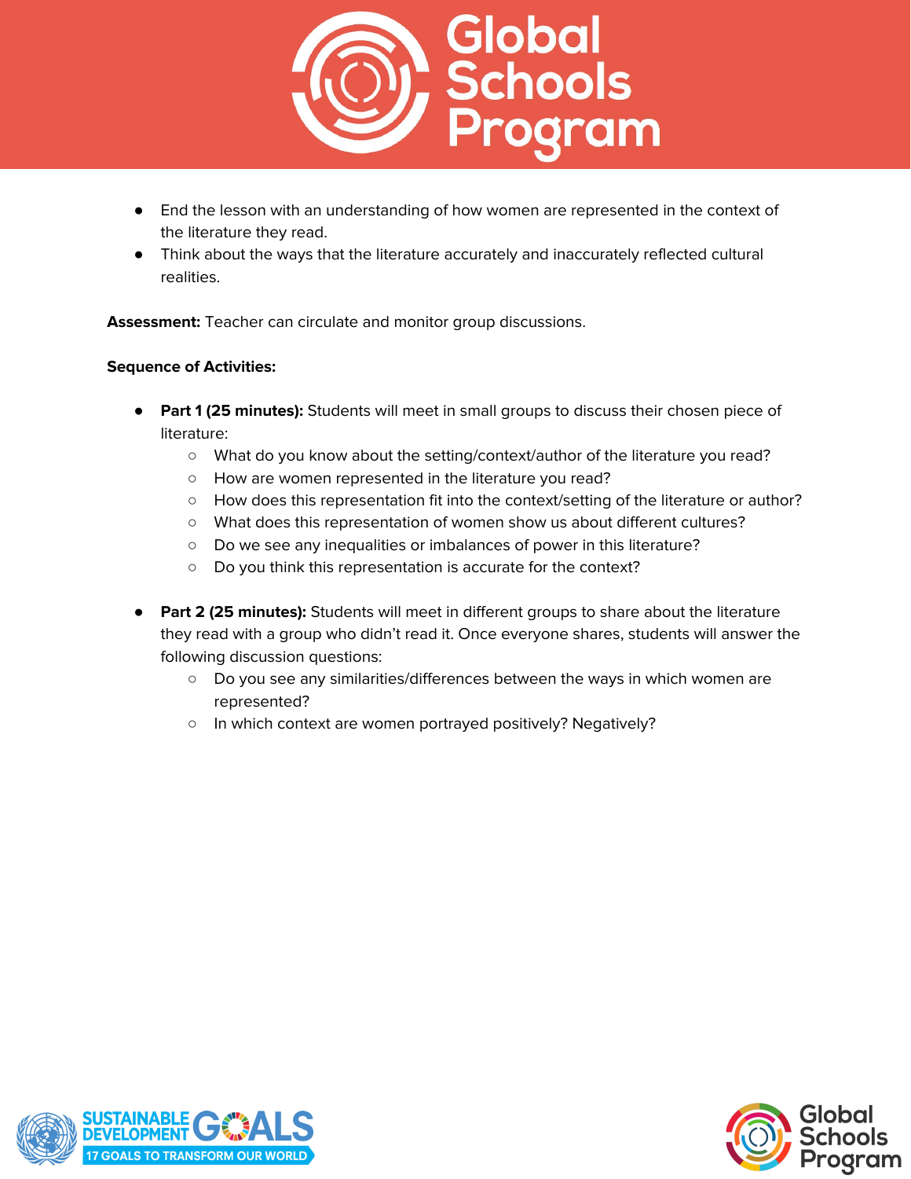

- End the lesson with an understanding of how women are represented in the context of the literature they read.
- Think about the ways that the literature accurately and inaccurately reflected cultural realities.

**Assessment:** Teacher can circulate and monitor group discussions.

## **Sequence of Activities:**

- **● Part 1 (25 minutes):** Students will meet in small groups to discuss their chosen piece of literature:
	- What do you know about the setting/context/author of the literature you read?
	- How are women represented in the literature you read?
	- How does this representation fit into the context/setting of the literature or author?
	- What does this representation of women show us about different cultures?
	- Do we see any inequalities or imbalances of power in this literature?
	- Do you think this representation is accurate for the context?
- **Part 2 (25 minutes):** Students will meet in different groups to share about the literature they read with a group who didn't read it. Once everyone shares, students will answer the following discussion questions:
	- Do you see any similarities/differences between the ways in which women are represented?
	- In which context are women portrayed positively? Negatively?



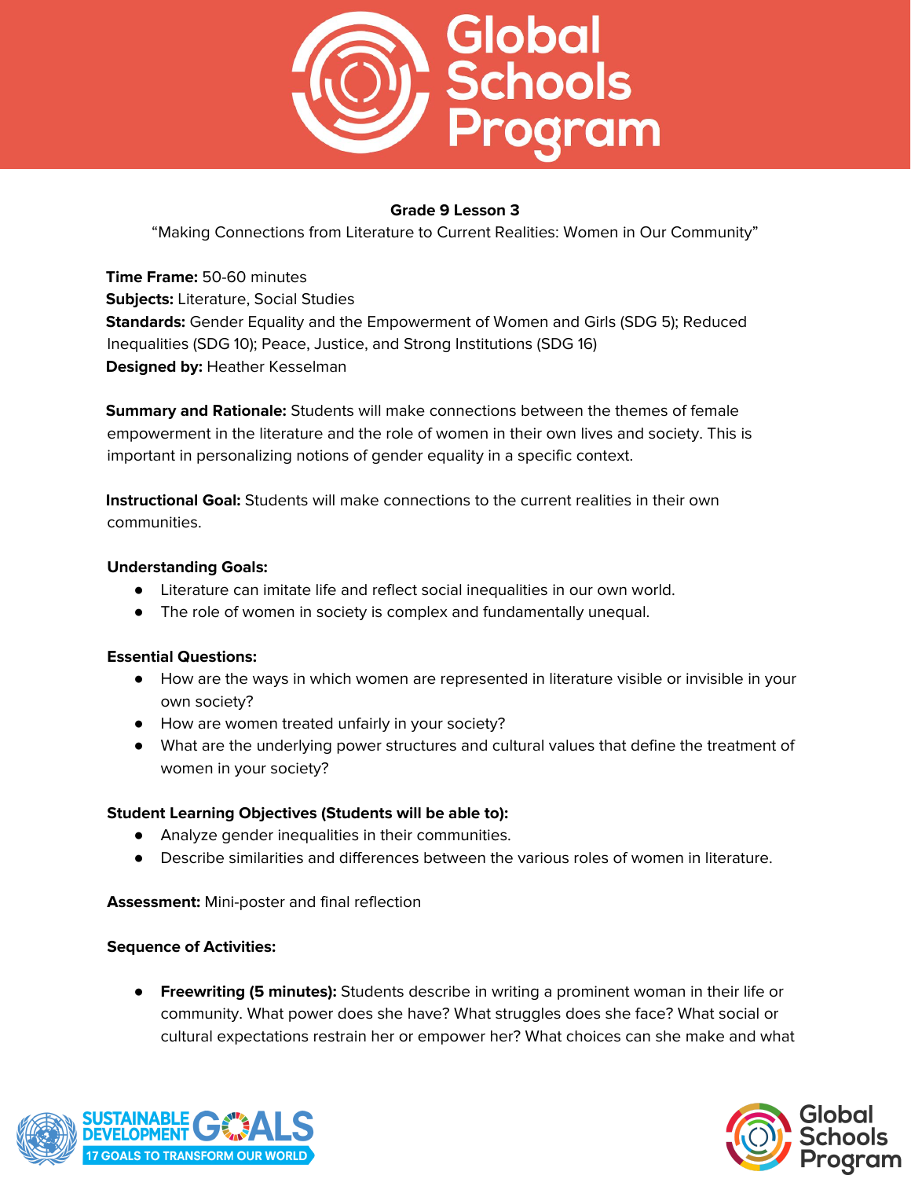

"Making Connections from Literature to Current Realities: Women in Our Community"

**Time Frame:** 50-60 minutes **Subjects:** Literature, Social Studies **Standards:** Gender Equality and the Empowerment of Women and Girls (SDG 5); Reduced Inequalities (SDG 10); Peace, Justice, and Strong Institutions (SDG 16) **Designed by:** Heather Kesselman

**Summary and Rationale:** Students will make connections between the themes of female empowerment in the literature and the role of women in their own lives and society. This is important in personalizing notions of gender equality in a specific context.

**Instructional Goal:** Students will make connections to the current realities in their own communities.

## **Understanding Goals:**

- Literature can imitate life and reflect social inequalities in our own world.
- The role of women in society is complex and fundamentally unequal.

## **Essential Questions:**

- How are the ways in which women are represented in literature visible or invisible in your own society?
- How are women treated unfairly in your society?
- What are the underlying power structures and cultural values that define the treatment of women in your society?

## **Student Learning Objectives (Students will be able to):**

- Analyze gender inequalities in their communities.
- Describe similarities and differences between the various roles of women in literature.

**Assessment:** Mini-poster and final reflection

## **Sequence of Activities:**

● **Freewriting (5 minutes):** Students describe in writing a prominent woman in their life or community. What power does she have? What struggles does she face? What social or cultural expectations restrain her or empower her? What choices can she make and what



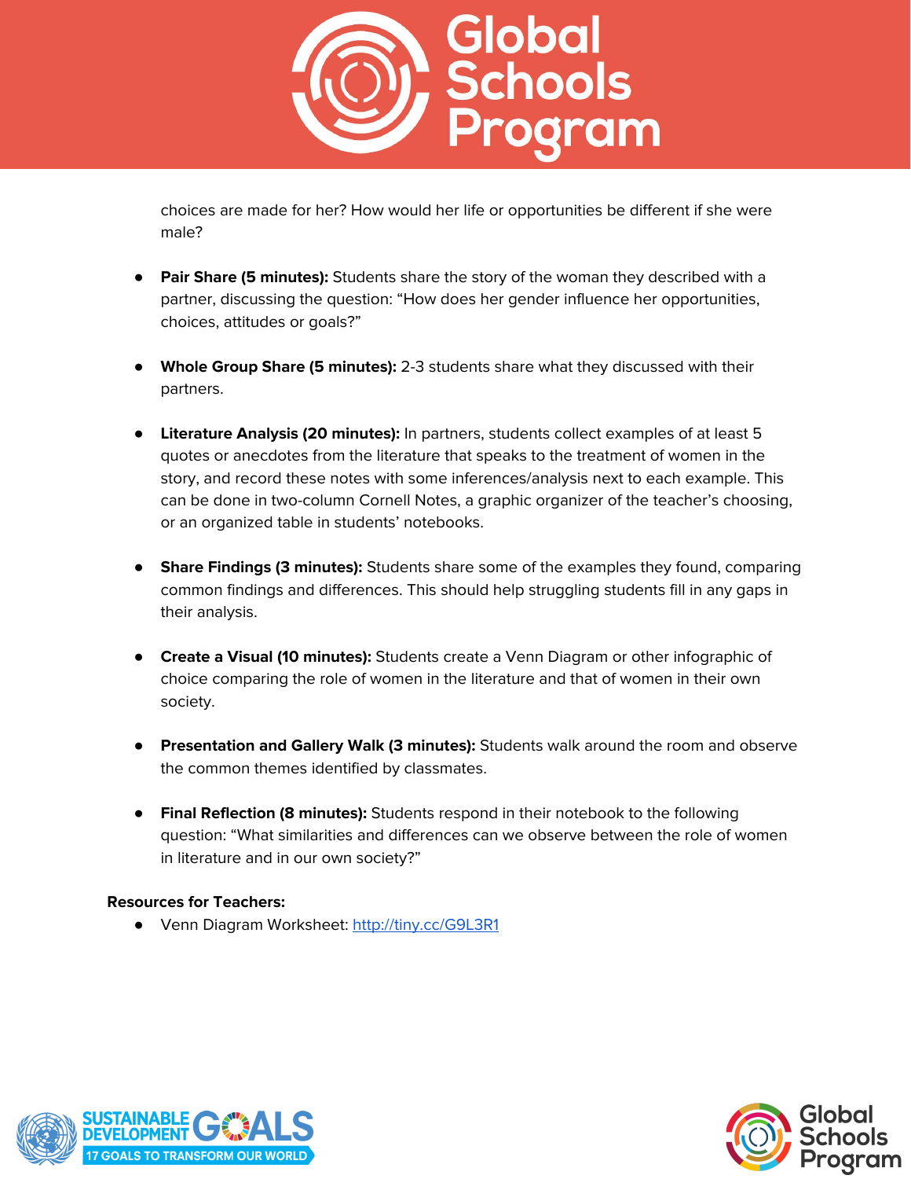

choices are made for her? How would her life or opportunities be different if she were male?

- **Pair Share (5 minutes):** Students share the story of the woman they described with a partner, discussing the question: "How does her gender influence her opportunities, choices, attitudes or goals?"
- **Whole Group Share (5 minutes):** 2-3 students share what they discussed with their partners.
- **Literature Analysis (20 minutes):** In partners, students collect examples of at least 5 quotes or anecdotes from the literature that speaks to the treatment of women in the story, and record these notes with some inferences/analysis next to each example. This can be done in two-column Cornell Notes, a graphic organizer of the teacher's choosing, or an organized table in students' notebooks.
- **Share Findings (3 minutes):** Students share some of the examples they found, comparing common findings and differences. This should help struggling students fill in any gaps in their analysis.
- **Create a Visual (10 minutes):** Students create a Venn Diagram or other infographic of choice comparing the role of women in the literature and that of women in their own society.
- **Presentation and Gallery Walk (3 minutes):** Students walk around the room and observe the common themes identified by classmates.
- **Final Reflection (8 minutes):** Students respond in their notebook to the following question: "What similarities and differences can we observe between the role of women in literature and in our own society?"

## **Resources for Teachers:**

● Venn Diagram Worksheet: <http://tiny.cc/G9L3R1>



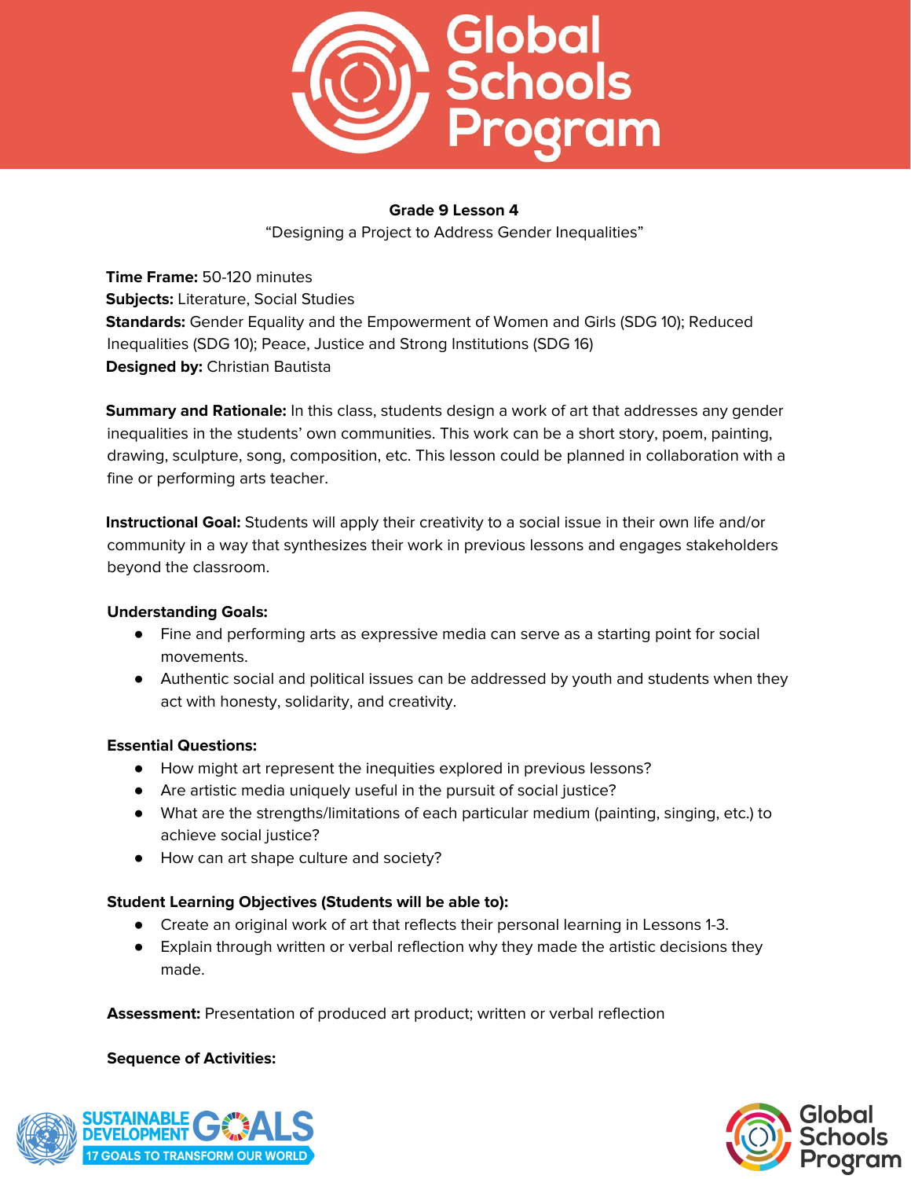

"Designing a Project to Address Gender Inequalities"

**Time Frame:** 50-120 minutes **Subjects:** Literature, Social Studies **Standards:** Gender Equality and the Empowerment of Women and Girls (SDG 10); Reduced Inequalities (SDG 10); Peace, Justice and Strong Institutions (SDG 16) **Designed by:** Christian Bautista

**Summary and Rationale:** In this class, students design a work of art that addresses any gender inequalities in the students' own communities. This work can be a short story, poem, painting, drawing, sculpture, song, composition, etc. This lesson could be planned in collaboration with a fine or performing arts teacher.

**Instructional Goal:** Students will apply their creativity to a social issue in their own life and/or community in a way that synthesizes their work in previous lessons and engages stakeholders beyond the classroom.

## **Understanding Goals:**

- Fine and performing arts as expressive media can serve as a starting point for social movements.
- Authentic social and political issues can be addressed by youth and students when they act with honesty, solidarity, and creativity.

## **Essential Questions:**

- How might art represent the inequities explored in previous lessons?
- Are artistic media uniquely useful in the pursuit of social justice?
- What are the strengths/limitations of each particular medium (painting, singing, etc.) to achieve social justice?
- How can art shape culture and society?

## **Student Learning Objectives (Students will be able to):**

- Create an original work of art that reflects their personal learning in Lessons 1-3.
- Explain through written or verbal reflection why they made the artistic decisions they made.

**Assessment:** Presentation of produced art product; written or verbal reflection

## **Sequence of Activities:**



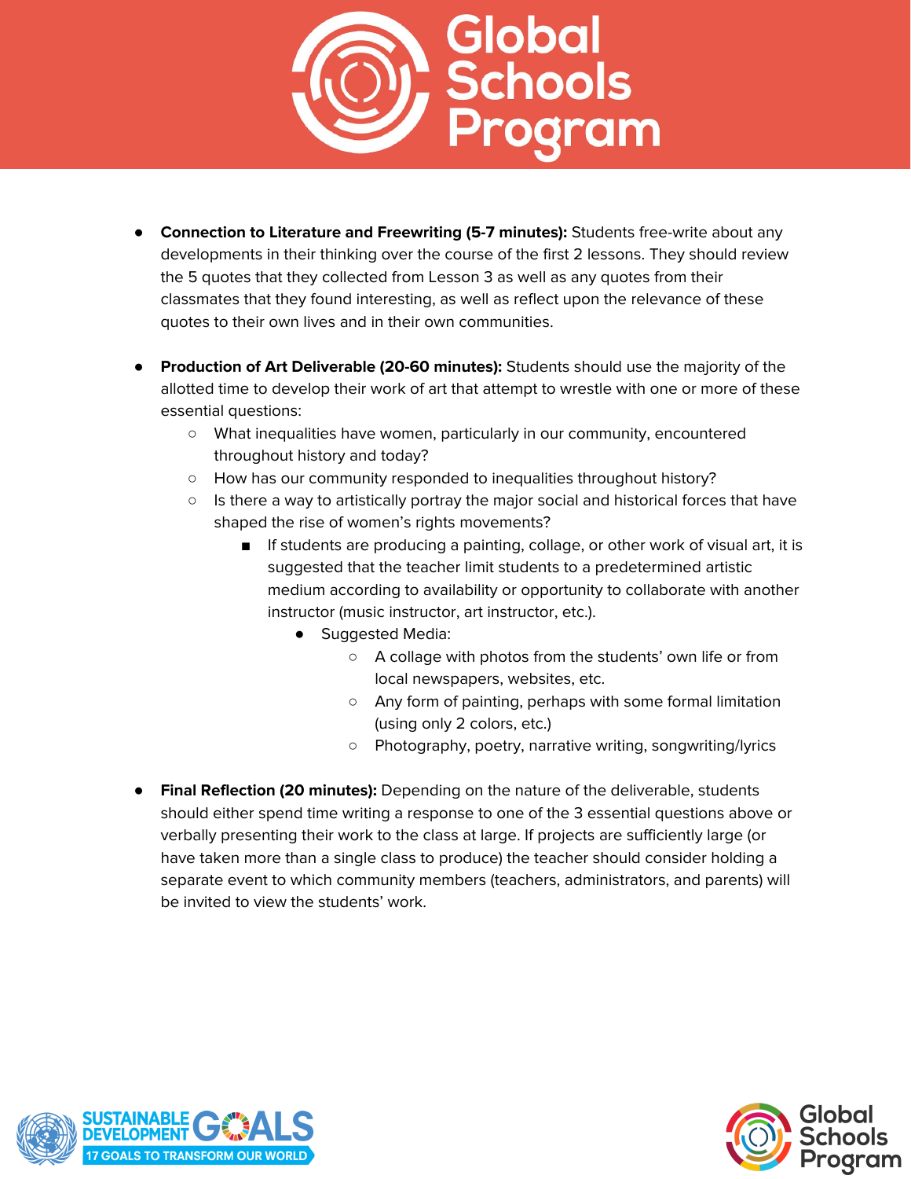

- **Connection to Literature and Freewriting (5-7 minutes):** Students free-write about any developments in their thinking over the course of the first 2 lessons. They should review the 5 quotes that they collected from Lesson 3 as well as any quotes from their classmates that they found interesting, as well as reflect upon the relevance of these quotes to their own lives and in their own communities.
- **Production of Art Deliverable (20-60 minutes):** Students should use the majority of the allotted time to develop their work of art that attempt to wrestle with one or more of these essential questions:
	- What inequalities have women, particularly in our community, encountered throughout history and today?
	- How has our community responded to inequalities throughout history?
	- Is there a way to artistically portray the major social and historical forces that have shaped the rise of women's rights movements?
		- If students are producing a painting, collage, or other work of visual art, it is suggested that the teacher limit students to a predetermined artistic medium according to availability or opportunity to collaborate with another instructor (music instructor, art instructor, etc.).
			- Suggested Media:
				- A collage with photos from the students' own life or from local newspapers, websites, etc.
				- Any form of painting, perhaps with some formal limitation (using only 2 colors, etc.)
				- Photography, poetry, narrative writing, songwriting/lyrics
- **Final Reflection (20 minutes):** Depending on the nature of the deliverable, students should either spend time writing a response to one of the 3 essential questions above or verbally presenting their work to the class at large. If projects are sufficiently large (or have taken more than a single class to produce) the teacher should consider holding a separate event to which community members (teachers, administrators, and parents) will be invited to view the students' work.



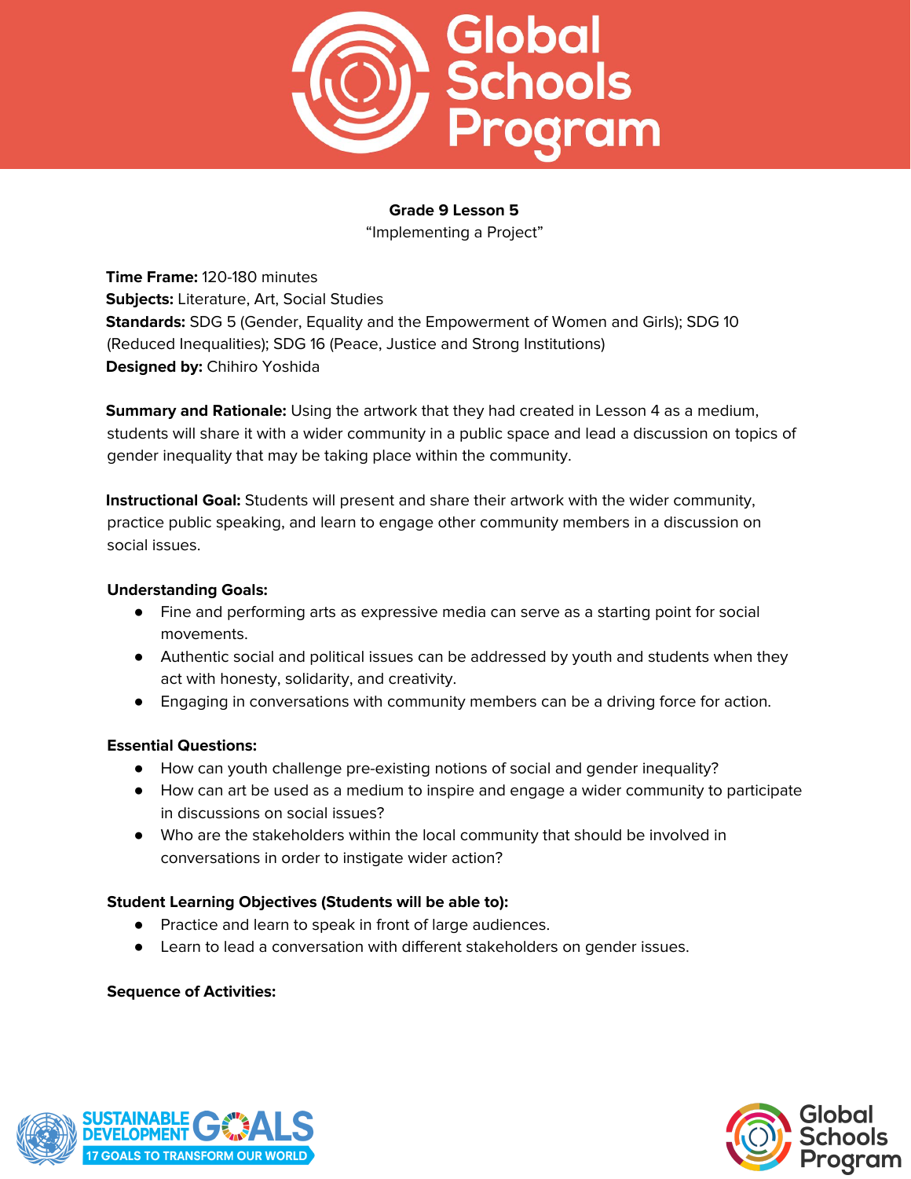

"Implementing a Project"

**Time Frame:** 120-180 minutes **Subjects:** Literature, Art, Social Studies **Standards:** SDG 5 (Gender, Equality and the Empowerment of Women and Girls); SDG 10 (Reduced Inequalities); SDG 16 (Peace, Justice and Strong Institutions) **Designed by:** Chihiro Yoshida

**Summary and Rationale:** Using the artwork that they had created in Lesson 4 as a medium, students will share it with a wider community in a public space and lead a discussion on topics of gender inequality that may be taking place within the community.

**Instructional Goal:** Students will present and share their artwork with the wider community, practice public speaking, and learn to engage other community members in a discussion on social issues.

## **Understanding Goals:**

- Fine and performing arts as expressive media can serve as a starting point for social movements.
- Authentic social and political issues can be addressed by youth and students when they act with honesty, solidarity, and creativity.
- Engaging in conversations with community members can be a driving force for action.

## **Essential Questions:**

- How can youth challenge pre-existing notions of social and gender inequality?
- How can art be used as a medium to inspire and engage a wider community to participate in discussions on social issues?
- Who are the stakeholders within the local community that should be involved in conversations in order to instigate wider action?

# **Student Learning Objectives (Students will be able to):**

- Practice and learn to speak in front of large audiences.
- Learn to lead a conversation with different stakeholders on gender issues.

## **Sequence of Activities:**